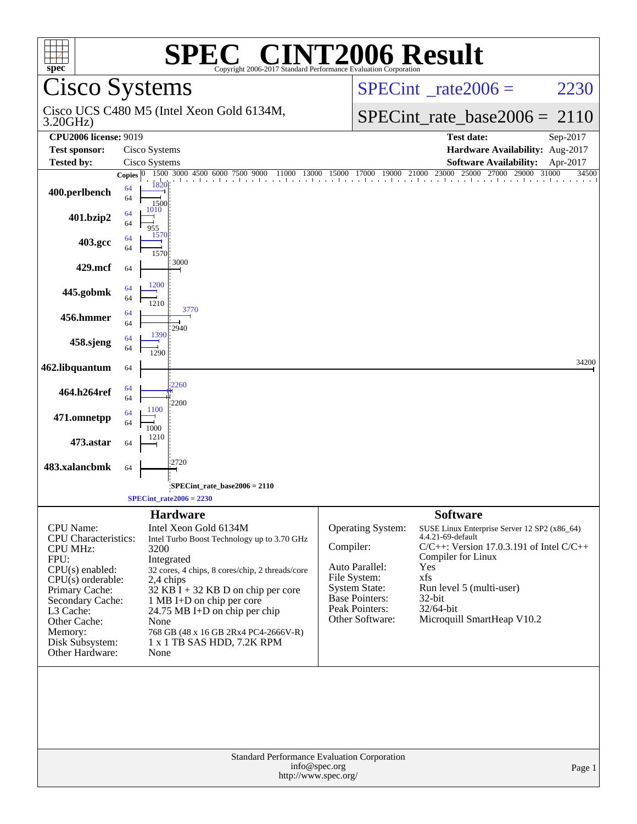| <b>SPEC<sup>®</sup> CINT2006 Result</b><br>$spec^*$<br>Copyright 2006-2017 Standard Performance Evaluation Corporation                                                                                                              |                                                                                                                                                                                                                                                                                                                                                                           |                                                                                                                                                        |                                                                                                                                                                                                                                                            |  |  |  |
|-------------------------------------------------------------------------------------------------------------------------------------------------------------------------------------------------------------------------------------|---------------------------------------------------------------------------------------------------------------------------------------------------------------------------------------------------------------------------------------------------------------------------------------------------------------------------------------------------------------------------|--------------------------------------------------------------------------------------------------------------------------------------------------------|------------------------------------------------------------------------------------------------------------------------------------------------------------------------------------------------------------------------------------------------------------|--|--|--|
|                                                                                                                                                                                                                                     | Cisco Systems                                                                                                                                                                                                                                                                                                                                                             |                                                                                                                                                        | $SPECint^{\circ}$ <sub>_rate2006</sub> =<br>2230                                                                                                                                                                                                           |  |  |  |
| 3.20GHz)                                                                                                                                                                                                                            | Cisco UCS C480 M5 (Intel Xeon Gold 6134M,                                                                                                                                                                                                                                                                                                                                 |                                                                                                                                                        | $SPECint_rate_base2006 =$<br>2110                                                                                                                                                                                                                          |  |  |  |
| <b>CPU2006 license: 9019</b>                                                                                                                                                                                                        |                                                                                                                                                                                                                                                                                                                                                                           |                                                                                                                                                        | <b>Test date:</b><br>Sep-2017                                                                                                                                                                                                                              |  |  |  |
| <b>Test sponsor:</b>                                                                                                                                                                                                                | Cisco Systems                                                                                                                                                                                                                                                                                                                                                             |                                                                                                                                                        | Hardware Availability: Aug-2017                                                                                                                                                                                                                            |  |  |  |
| <b>Tested by:</b>                                                                                                                                                                                                                   | Cisco Systems                                                                                                                                                                                                                                                                                                                                                             |                                                                                                                                                        | <b>Software Availability:</b><br>Apr-2017                                                                                                                                                                                                                  |  |  |  |
| 400.perlbench                                                                                                                                                                                                                       | 000 4500 6000 7500 9000 11000 13000 15000 17000 19000 21000 23000 25000 27000 29000 310<br>1500 3000 4500 6000 7500<br>Copies $ 0\rangle$<br>64<br>64<br>1500<br>1010<br>64                                                                                                                                                                                               |                                                                                                                                                        | 25000 27000 29000 31000<br>34500                                                                                                                                                                                                                           |  |  |  |
| 401.bzip2                                                                                                                                                                                                                           | 64<br>955<br>1570<br>64                                                                                                                                                                                                                                                                                                                                                   |                                                                                                                                                        |                                                                                                                                                                                                                                                            |  |  |  |
| 403.gcc                                                                                                                                                                                                                             | 64<br>1570<br>3000                                                                                                                                                                                                                                                                                                                                                        |                                                                                                                                                        |                                                                                                                                                                                                                                                            |  |  |  |
| 429.mcf                                                                                                                                                                                                                             | 64                                                                                                                                                                                                                                                                                                                                                                        |                                                                                                                                                        |                                                                                                                                                                                                                                                            |  |  |  |
| 445.gobmk                                                                                                                                                                                                                           | 1200<br>64<br>64<br>1210                                                                                                                                                                                                                                                                                                                                                  |                                                                                                                                                        |                                                                                                                                                                                                                                                            |  |  |  |
| 456.hmmer                                                                                                                                                                                                                           | 3770<br>64<br>64<br>2940                                                                                                                                                                                                                                                                                                                                                  |                                                                                                                                                        |                                                                                                                                                                                                                                                            |  |  |  |
| 458.sjeng                                                                                                                                                                                                                           | 1390<br>64<br>64<br>1290                                                                                                                                                                                                                                                                                                                                                  |                                                                                                                                                        |                                                                                                                                                                                                                                                            |  |  |  |
| 462.libquantum                                                                                                                                                                                                                      | 64                                                                                                                                                                                                                                                                                                                                                                        |                                                                                                                                                        | 34200                                                                                                                                                                                                                                                      |  |  |  |
| 464.h264ref                                                                                                                                                                                                                         | 2260<br>64<br>64<br>2200                                                                                                                                                                                                                                                                                                                                                  |                                                                                                                                                        |                                                                                                                                                                                                                                                            |  |  |  |
| 471.omnetpp                                                                                                                                                                                                                         | 1100<br>64<br>64<br>1000                                                                                                                                                                                                                                                                                                                                                  |                                                                                                                                                        |                                                                                                                                                                                                                                                            |  |  |  |
| 473.astar                                                                                                                                                                                                                           | 1210<br>64                                                                                                                                                                                                                                                                                                                                                                |                                                                                                                                                        |                                                                                                                                                                                                                                                            |  |  |  |
| 483.xalancbmk                                                                                                                                                                                                                       | 2720<br>64                                                                                                                                                                                                                                                                                                                                                                |                                                                                                                                                        |                                                                                                                                                                                                                                                            |  |  |  |
|                                                                                                                                                                                                                                     | SPECint_rate_base2006 = 2110<br>$SPECint\_rate2006 = 2230$                                                                                                                                                                                                                                                                                                                |                                                                                                                                                        |                                                                                                                                                                                                                                                            |  |  |  |
| CPU Name:<br><b>CPU</b> Characteristics:<br><b>CPU MHz:</b><br>FPU:<br>$CPU(s)$ enabled:<br>$CPU(s)$ orderable:<br>Primary Cache:<br>Secondary Cache:<br>L3 Cache:<br>Other Cache:<br>Memory:<br>Disk Subsystem:<br>Other Hardware: | <b>Hardware</b><br>Intel Xeon Gold 6134M<br>Intel Turbo Boost Technology up to 3.70 GHz<br>3200<br>Integrated<br>32 cores, 4 chips, 8 cores/chip, 2 threads/core<br>2,4 chips<br>$32$ KB I + 32 KB D on chip per core<br>1 MB I+D on chip per core<br>24.75 MB I+D on chip per chip<br>None<br>768 GB (48 x 16 GB 2Rx4 PC4-2666V-R)<br>1 x 1 TB SAS HDD, 7.2K RPM<br>None | Operating System:<br>Compiler:<br>Auto Parallel:<br>File System:<br><b>System State:</b><br><b>Base Pointers:</b><br>Peak Pointers:<br>Other Software: | <b>Software</b><br>SUSE Linux Enterprise Server 12 SP2 (x86_64)<br>4.4.21-69-default<br>$C/C++$ : Version 17.0.3.191 of Intel $C/C++$<br>Compiler for Linux<br>Yes<br>xfs<br>Run level 5 (multi-user)<br>32-bit<br>32/64-bit<br>Microquill SmartHeap V10.2 |  |  |  |
| Standard Performance Evaluation Corporation<br>info@spec.org<br>Page 1<br>http://www.spec.org/                                                                                                                                      |                                                                                                                                                                                                                                                                                                                                                                           |                                                                                                                                                        |                                                                                                                                                                                                                                                            |  |  |  |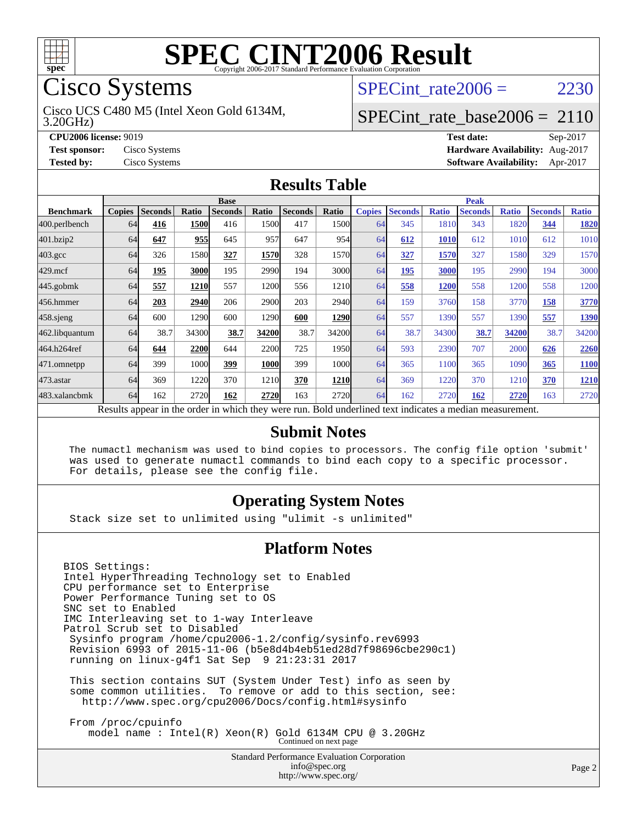

# Cisco Systems

3.20GHz) Cisco UCS C480 M5 (Intel Xeon Gold 6134M, SPECint rate $2006 = 2230$ 

#### [SPECint\\_rate\\_base2006 =](http://www.spec.org/auto/cpu2006/Docs/result-fields.html#SPECintratebase2006) 2110

**[CPU2006 license:](http://www.spec.org/auto/cpu2006/Docs/result-fields.html#CPU2006license)** 9019 **[Test date:](http://www.spec.org/auto/cpu2006/Docs/result-fields.html#Testdate)** Sep-2017 **[Test sponsor:](http://www.spec.org/auto/cpu2006/Docs/result-fields.html#Testsponsor)** Cisco Systems **[Hardware Availability:](http://www.spec.org/auto/cpu2006/Docs/result-fields.html#HardwareAvailability)** Aug-2017 **[Tested by:](http://www.spec.org/auto/cpu2006/Docs/result-fields.html#Testedby)** Cisco Systems **[Software Availability:](http://www.spec.org/auto/cpu2006/Docs/result-fields.html#SoftwareAvailability)** Apr-2017

#### **[Results Table](http://www.spec.org/auto/cpu2006/Docs/result-fields.html#ResultsTable)**

|                    | <b>Base</b>                                                                                              |                |              |                |             | <b>Peak</b>    |             |               |                |              |                |              |                |              |
|--------------------|----------------------------------------------------------------------------------------------------------|----------------|--------------|----------------|-------------|----------------|-------------|---------------|----------------|--------------|----------------|--------------|----------------|--------------|
| <b>Benchmark</b>   | <b>Copies</b>                                                                                            | <b>Seconds</b> | <b>Ratio</b> | <b>Seconds</b> | Ratio       | <b>Seconds</b> | Ratio       | <b>Copies</b> | <b>Seconds</b> | <b>Ratio</b> | <b>Seconds</b> | <b>Ratio</b> | <b>Seconds</b> | <b>Ratio</b> |
| 400.perlbench      | 64                                                                                                       | 416            | 1500         | 416            | 1500        | 417            | 15001       | 64            | 345            | 1810         | 343            | 1820         | 344            | 1820         |
| 401.bzip2          | 64                                                                                                       | 647            | 955          | 645            | 957         | 647            | 954l        | 64            | 612            | 1010         | 612            | 1010         | 612            | 1010         |
| $403.\mathrm{gcc}$ | 64                                                                                                       | 326            | 1580         | 327            | 1570        | 328            | 15701       | 64            | 327            | 1570         | 327            | 1580         | 329            | 1570         |
| $429$ .mcf         | 64                                                                                                       | 195            | 3000         | 195            | 2990        | 194            | 3000l       | 64            | 195            | 3000         | 195            | 2990         | 194            | 3000         |
| $445$ .gobm $k$    | 64                                                                                                       | 557            | 1210         | 557            | 1200        | 556            | 1210        | 64            | 558            | 1200         | 558            | 1200         | 558            | 1200         |
| 456.hmmer          | 64                                                                                                       | 203            | 2940         | 206            | 2900        | 203            | <b>2940</b> | 64            | 159            | 3760         | 158            | 3770         | 158            | 3770         |
| $458$ .sjeng       | 64                                                                                                       | 600            | 1290         | 600            | 1290        | 600            | <b>1290</b> | 64            | 557            | 1390         | 557            | 1390         | 557            | <b>1390</b>  |
| 462.libquantum     | 64                                                                                                       | 38.7           | 34300        | 38.7           | 34200       | 38.7           | 34200       | 64            | 38.7           | 34300        | 38.7           | 34200        | 38.7           | 34200        |
| 464.h264ref        | 64                                                                                                       | 644            | 2200         | 644            | 2200        | 725            | 1950        | 64            | 593            | 2390         | 707            | 2000         | 626            | 2260         |
| 471.omnetpp        | 64                                                                                                       | 399            | 1000         | 399            | <b>1000</b> | 399            | 1000l       | 64            | 365            | 1100         | 365            | 1090         | 365            | <b>1100</b>  |
| $473$ . astar      | 64                                                                                                       | 369            | 1220         | 370            | 1210        | 370            | 1210        | 64            | 369            | 1220         | 370            | 1210         | 370            | 1210         |
| 483.xalancbmk      | 64                                                                                                       | 162            | 2720         | 162            | 2720        | 163            | 2720        | 64            | 162            | 2720         | 162            | 2720         | 163            | 2720         |
|                    | Results appear in the order in which they were run. Bold underlined text indicates a median measurement. |                |              |                |             |                |             |               |                |              |                |              |                |              |

#### **[Submit Notes](http://www.spec.org/auto/cpu2006/Docs/result-fields.html#SubmitNotes)**

 The numactl mechanism was used to bind copies to processors. The config file option 'submit' was used to generate numactl commands to bind each copy to a specific processor. For details, please see the config file.

#### **[Operating System Notes](http://www.spec.org/auto/cpu2006/Docs/result-fields.html#OperatingSystemNotes)**

Stack size set to unlimited using "ulimit -s unlimited"

#### **[Platform Notes](http://www.spec.org/auto/cpu2006/Docs/result-fields.html#PlatformNotes)**

BIOS Settings: Intel HyperThreading Technology set to Enabled CPU performance set to Enterprise Power Performance Tuning set to OS SNC set to Enabled IMC Interleaving set to 1-way Interleave Patrol Scrub set to Disabled Sysinfo program /home/cpu2006-1.2/config/sysinfo.rev6993 Revision 6993 of 2015-11-06 (b5e8d4b4eb51ed28d7f98696cbe290c1) running on linux-g4f1 Sat Sep 9 21:23:31 2017 This section contains SUT (System Under Test) info as seen by some common utilities. To remove or add to this section, see: <http://www.spec.org/cpu2006/Docs/config.html#sysinfo>

 From /proc/cpuinfo model name : Intel(R) Xeon(R) Gold 6134M CPU @ 3.20GHz Continued on next page

> Standard Performance Evaluation Corporation [info@spec.org](mailto:info@spec.org) <http://www.spec.org/>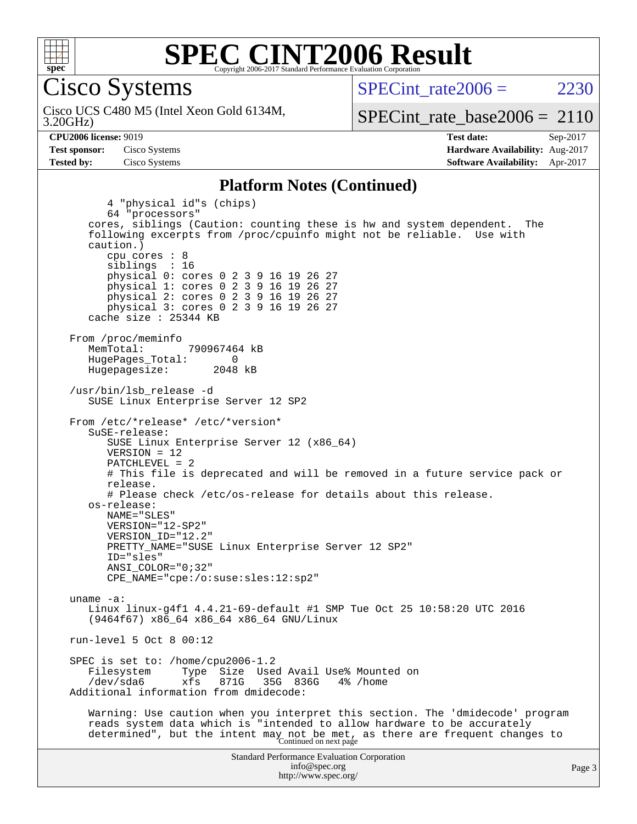

Cisco Systems

3.20GHz) Cisco UCS C480 M5 (Intel Xeon Gold 6134M,  $SPECint rate2006 = 2230$ 

[SPECint\\_rate\\_base2006 =](http://www.spec.org/auto/cpu2006/Docs/result-fields.html#SPECintratebase2006) 2110

**[CPU2006 license:](http://www.spec.org/auto/cpu2006/Docs/result-fields.html#CPU2006license)** 9019 **[Test date:](http://www.spec.org/auto/cpu2006/Docs/result-fields.html#Testdate)** Sep-2017 **[Test sponsor:](http://www.spec.org/auto/cpu2006/Docs/result-fields.html#Testsponsor)** Cisco Systems **[Hardware Availability:](http://www.spec.org/auto/cpu2006/Docs/result-fields.html#HardwareAvailability)** Aug-2017 **[Tested by:](http://www.spec.org/auto/cpu2006/Docs/result-fields.html#Testedby)** Cisco Systems **[Software Availability:](http://www.spec.org/auto/cpu2006/Docs/result-fields.html#SoftwareAvailability)** Apr-2017

#### **[Platform Notes \(Continued\)](http://www.spec.org/auto/cpu2006/Docs/result-fields.html#PlatformNotes)**

Standard Performance Evaluation Corporation [info@spec.org](mailto:info@spec.org) 4 "physical id"s (chips) 64 "processors" cores, siblings (Caution: counting these is hw and system dependent. The following excerpts from /proc/cpuinfo might not be reliable. Use with caution.) cpu cores : 8 siblings : 16 physical 0: cores 0 2 3 9 16 19 26 27 physical 1: cores 0 2 3 9 16 19 26 27 physical 2: cores 0 2 3 9 16 19 26 27 physical 3: cores 0 2 3 9 16 19 26 27 cache size : 25344 KB From /proc/meminfo MemTotal: 790967464 kB HugePages\_Total: 0<br>Hugepagesize: 2048 kB Hugepagesize: /usr/bin/lsb\_release -d SUSE Linux Enterprise Server 12 SP2 From /etc/\*release\* /etc/\*version\* SuSE-release: SUSE Linux Enterprise Server 12 (x86\_64) VERSION = 12 PATCHLEVEL = 2 # This file is deprecated and will be removed in a future service pack or release. # Please check /etc/os-release for details about this release. os-release: NAME="SLES" VERSION="12-SP2" VERSION\_ID="12.2" PRETTY\_NAME="SUSE Linux Enterprise Server 12 SP2" ID="sles" ANSI\_COLOR="0;32" CPE\_NAME="cpe:/o:suse:sles:12:sp2" uname -a: Linux linux-g4f1 4.4.21-69-default #1 SMP Tue Oct 25 10:58:20 UTC 2016 (9464f67) x86\_64 x86\_64 x86\_64 GNU/Linux run-level 5 Oct 8 00:12 SPEC is set to: /home/cpu2006-1.2 Filesystem Type Size Used Avail Use% Mounted on<br>
/dev/sda6 xfs 871G 35G 836G 4% /home xfs 871G 35G 836G 4% /home Additional information from dmidecode: Warning: Use caution when you interpret this section. The 'dmidecode' program reads system data which is "intended to allow hardware to be accurately determined", but the intent may not be met, as there are frequent changes to<br>Continued on next page

<http://www.spec.org/>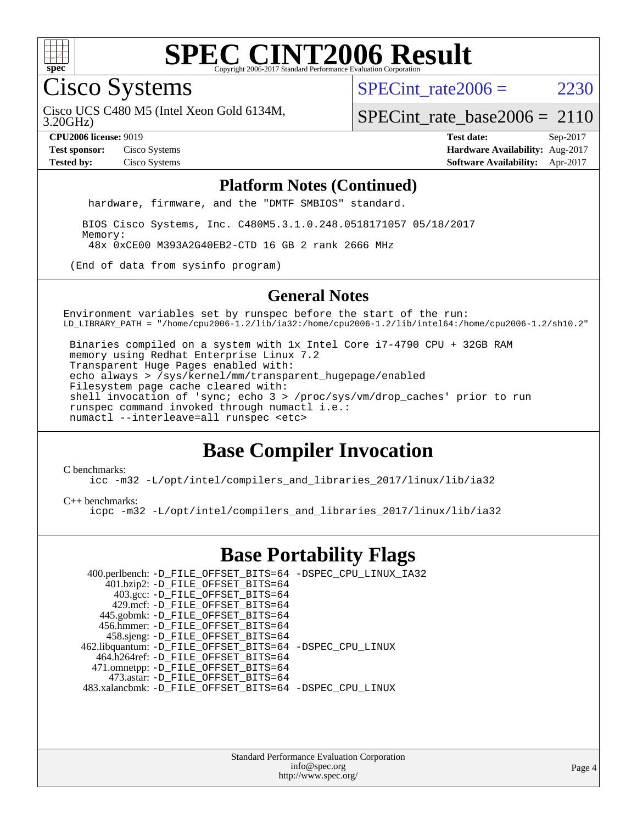

Cisco Systems

SPECint rate $2006 = 2230$ 

3.20GHz) Cisco UCS C480 M5 (Intel Xeon Gold 6134M,

[SPECint\\_rate\\_base2006 =](http://www.spec.org/auto/cpu2006/Docs/result-fields.html#SPECintratebase2006) 2110

**[CPU2006 license:](http://www.spec.org/auto/cpu2006/Docs/result-fields.html#CPU2006license)** 9019 **[Test date:](http://www.spec.org/auto/cpu2006/Docs/result-fields.html#Testdate)** Sep-2017 **[Test sponsor:](http://www.spec.org/auto/cpu2006/Docs/result-fields.html#Testsponsor)** Cisco Systems **[Hardware Availability:](http://www.spec.org/auto/cpu2006/Docs/result-fields.html#HardwareAvailability)** Aug-2017 **[Tested by:](http://www.spec.org/auto/cpu2006/Docs/result-fields.html#Testedby)** Cisco Systems **[Software Availability:](http://www.spec.org/auto/cpu2006/Docs/result-fields.html#SoftwareAvailability)** Apr-2017

#### **[Platform Notes \(Continued\)](http://www.spec.org/auto/cpu2006/Docs/result-fields.html#PlatformNotes)**

hardware, firmware, and the "DMTF SMBIOS" standard.

 BIOS Cisco Systems, Inc. C480M5.3.1.0.248.0518171057 05/18/2017 Memory: 48x 0xCE00 M393A2G40EB2-CTD 16 GB 2 rank 2666 MHz

(End of data from sysinfo program)

#### **[General Notes](http://www.spec.org/auto/cpu2006/Docs/result-fields.html#GeneralNotes)**

Environment variables set by runspec before the start of the run: LD\_LIBRARY\_PATH = "/home/cpu2006-1.2/lib/ia32:/home/cpu2006-1.2/lib/intel64:/home/cpu2006-1.2/sh10.2"

 Binaries compiled on a system with 1x Intel Core i7-4790 CPU + 32GB RAM memory using Redhat Enterprise Linux 7.2 Transparent Huge Pages enabled with: echo always > /sys/kernel/mm/transparent\_hugepage/enabled Filesystem page cache cleared with: shell invocation of 'sync; echo 3 > /proc/sys/vm/drop\_caches' prior to run runspec command invoked through numactl i.e.: numactl --interleave=all runspec <etc>

### **[Base Compiler Invocation](http://www.spec.org/auto/cpu2006/Docs/result-fields.html#BaseCompilerInvocation)**

[C benchmarks](http://www.spec.org/auto/cpu2006/Docs/result-fields.html#Cbenchmarks):

[icc -m32 -L/opt/intel/compilers\\_and\\_libraries\\_2017/linux/lib/ia32](http://www.spec.org/cpu2006/results/res2017q4/cpu2006-20170919-50154.flags.html#user_CCbase_intel_icc_c29f3ff5a7ed067b11e4ec10a03f03ae)

[C++ benchmarks:](http://www.spec.org/auto/cpu2006/Docs/result-fields.html#CXXbenchmarks)

[icpc -m32 -L/opt/intel/compilers\\_and\\_libraries\\_2017/linux/lib/ia32](http://www.spec.org/cpu2006/results/res2017q4/cpu2006-20170919-50154.flags.html#user_CXXbase_intel_icpc_8c35c7808b62dab9ae41a1aa06361b6b)

#### **[Base Portability Flags](http://www.spec.org/auto/cpu2006/Docs/result-fields.html#BasePortabilityFlags)**

| 400.perlbench: -D_FILE_OFFSET_BITS=64 -DSPEC_CPU_LINUX_IA32 |  |
|-------------------------------------------------------------|--|
| 401.bzip2: -D_FILE_OFFSET_BITS=64                           |  |
| 403.gcc: -D_FILE_OFFSET_BITS=64                             |  |
| 429.mcf: -D FILE OFFSET BITS=64                             |  |
| 445.gobmk: -D_FILE_OFFSET_BITS=64                           |  |
| 456.hmmer: -D FILE OFFSET BITS=64                           |  |
| 458.sjeng: -D_FILE_OFFSET_BITS=64                           |  |
| 462.libquantum: -D_FILE_OFFSET_BITS=64 -DSPEC_CPU_LINUX     |  |
| 464.h264ref: -D_FILE_OFFSET_BITS=64                         |  |
| 471.omnetpp: -D_FILE_OFFSET_BITS=64                         |  |
| 473.astar: -D FILE OFFSET BITS=64                           |  |
| 483.xalancbmk: -D FILE OFFSET BITS=64 -DSPEC CPU LINUX      |  |

Standard Performance Evaluation Corporation [info@spec.org](mailto:info@spec.org) <http://www.spec.org/>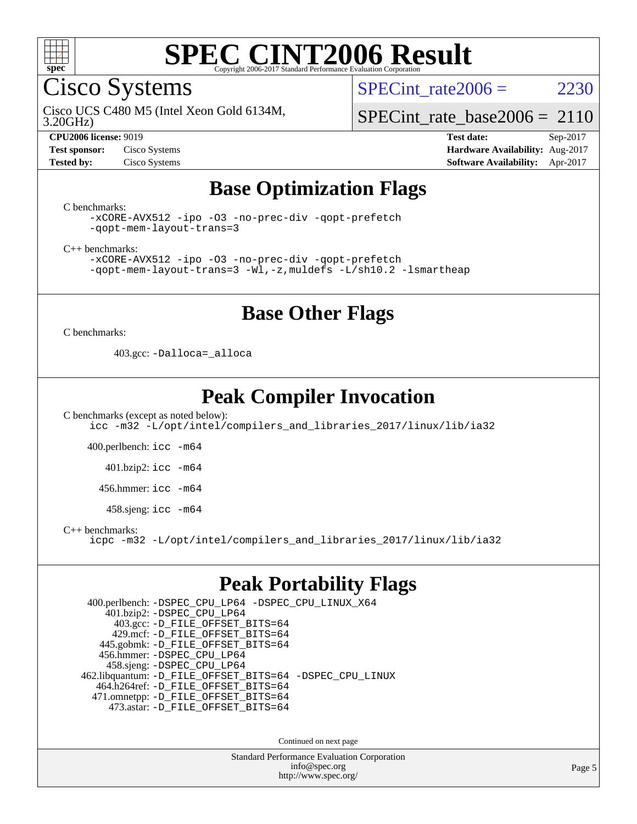

Cisco Systems

SPECint rate $2006 = 2230$ 

3.20GHz) Cisco UCS C480 M5 (Intel Xeon Gold 6134M,

[SPECint\\_rate\\_base2006 =](http://www.spec.org/auto/cpu2006/Docs/result-fields.html#SPECintratebase2006) 2110

**[CPU2006 license:](http://www.spec.org/auto/cpu2006/Docs/result-fields.html#CPU2006license)** 9019 **[Test date:](http://www.spec.org/auto/cpu2006/Docs/result-fields.html#Testdate)** Sep-2017 **[Test sponsor:](http://www.spec.org/auto/cpu2006/Docs/result-fields.html#Testsponsor)** Cisco Systems **[Hardware Availability:](http://www.spec.org/auto/cpu2006/Docs/result-fields.html#HardwareAvailability)** Aug-2017 **[Tested by:](http://www.spec.org/auto/cpu2006/Docs/result-fields.html#Testedby)** Cisco Systems **[Software Availability:](http://www.spec.org/auto/cpu2006/Docs/result-fields.html#SoftwareAvailability)** Apr-2017

### **[Base Optimization Flags](http://www.spec.org/auto/cpu2006/Docs/result-fields.html#BaseOptimizationFlags)**

[C benchmarks](http://www.spec.org/auto/cpu2006/Docs/result-fields.html#Cbenchmarks):

[-xCORE-AVX512](http://www.spec.org/cpu2006/results/res2017q4/cpu2006-20170919-50154.flags.html#user_CCbase_f-xCORE-AVX512) [-ipo](http://www.spec.org/cpu2006/results/res2017q4/cpu2006-20170919-50154.flags.html#user_CCbase_f-ipo) [-O3](http://www.spec.org/cpu2006/results/res2017q4/cpu2006-20170919-50154.flags.html#user_CCbase_f-O3) [-no-prec-div](http://www.spec.org/cpu2006/results/res2017q4/cpu2006-20170919-50154.flags.html#user_CCbase_f-no-prec-div) [-qopt-prefetch](http://www.spec.org/cpu2006/results/res2017q4/cpu2006-20170919-50154.flags.html#user_CCbase_f-qopt-prefetch) [-qopt-mem-layout-trans=3](http://www.spec.org/cpu2006/results/res2017q4/cpu2006-20170919-50154.flags.html#user_CCbase_f-qopt-mem-layout-trans_170f5be61cd2cedc9b54468c59262d5d)

[C++ benchmarks:](http://www.spec.org/auto/cpu2006/Docs/result-fields.html#CXXbenchmarks)

[-xCORE-AVX512](http://www.spec.org/cpu2006/results/res2017q4/cpu2006-20170919-50154.flags.html#user_CXXbase_f-xCORE-AVX512) [-ipo](http://www.spec.org/cpu2006/results/res2017q4/cpu2006-20170919-50154.flags.html#user_CXXbase_f-ipo) [-O3](http://www.spec.org/cpu2006/results/res2017q4/cpu2006-20170919-50154.flags.html#user_CXXbase_f-O3) [-no-prec-div](http://www.spec.org/cpu2006/results/res2017q4/cpu2006-20170919-50154.flags.html#user_CXXbase_f-no-prec-div) [-qopt-prefetch](http://www.spec.org/cpu2006/results/res2017q4/cpu2006-20170919-50154.flags.html#user_CXXbase_f-qopt-prefetch) [-qopt-mem-layout-trans=3](http://www.spec.org/cpu2006/results/res2017q4/cpu2006-20170919-50154.flags.html#user_CXXbase_f-qopt-mem-layout-trans_170f5be61cd2cedc9b54468c59262d5d) [-Wl,-z,muldefs](http://www.spec.org/cpu2006/results/res2017q4/cpu2006-20170919-50154.flags.html#user_CXXbase_link_force_multiple1_74079c344b956b9658436fd1b6dd3a8a) [-L/sh10.2 -lsmartheap](http://www.spec.org/cpu2006/results/res2017q4/cpu2006-20170919-50154.flags.html#user_CXXbase_SmartHeap_b831f2d313e2fffa6dfe3f00ffc1f1c0)

#### **[Base Other Flags](http://www.spec.org/auto/cpu2006/Docs/result-fields.html#BaseOtherFlags)**

[C benchmarks](http://www.spec.org/auto/cpu2006/Docs/result-fields.html#Cbenchmarks):

403.gcc: [-Dalloca=\\_alloca](http://www.spec.org/cpu2006/results/res2017q4/cpu2006-20170919-50154.flags.html#b403.gcc_baseEXTRA_CFLAGS_Dalloca_be3056838c12de2578596ca5467af7f3)

### **[Peak Compiler Invocation](http://www.spec.org/auto/cpu2006/Docs/result-fields.html#PeakCompilerInvocation)**

[C benchmarks \(except as noted below\)](http://www.spec.org/auto/cpu2006/Docs/result-fields.html#Cbenchmarksexceptasnotedbelow): [icc -m32 -L/opt/intel/compilers\\_and\\_libraries\\_2017/linux/lib/ia32](http://www.spec.org/cpu2006/results/res2017q4/cpu2006-20170919-50154.flags.html#user_CCpeak_intel_icc_c29f3ff5a7ed067b11e4ec10a03f03ae)

400.perlbench: [icc -m64](http://www.spec.org/cpu2006/results/res2017q4/cpu2006-20170919-50154.flags.html#user_peakCCLD400_perlbench_intel_icc_64bit_bda6cc9af1fdbb0edc3795bac97ada53)

401.bzip2: [icc -m64](http://www.spec.org/cpu2006/results/res2017q4/cpu2006-20170919-50154.flags.html#user_peakCCLD401_bzip2_intel_icc_64bit_bda6cc9af1fdbb0edc3795bac97ada53)

456.hmmer: [icc -m64](http://www.spec.org/cpu2006/results/res2017q4/cpu2006-20170919-50154.flags.html#user_peakCCLD456_hmmer_intel_icc_64bit_bda6cc9af1fdbb0edc3795bac97ada53)

458.sjeng: [icc -m64](http://www.spec.org/cpu2006/results/res2017q4/cpu2006-20170919-50154.flags.html#user_peakCCLD458_sjeng_intel_icc_64bit_bda6cc9af1fdbb0edc3795bac97ada53)

[C++ benchmarks:](http://www.spec.org/auto/cpu2006/Docs/result-fields.html#CXXbenchmarks)

[icpc -m32 -L/opt/intel/compilers\\_and\\_libraries\\_2017/linux/lib/ia32](http://www.spec.org/cpu2006/results/res2017q4/cpu2006-20170919-50154.flags.html#user_CXXpeak_intel_icpc_8c35c7808b62dab9ae41a1aa06361b6b)

#### **[Peak Portability Flags](http://www.spec.org/auto/cpu2006/Docs/result-fields.html#PeakPortabilityFlags)**

 400.perlbench: [-DSPEC\\_CPU\\_LP64](http://www.spec.org/cpu2006/results/res2017q4/cpu2006-20170919-50154.flags.html#b400.perlbench_peakCPORTABILITY_DSPEC_CPU_LP64) [-DSPEC\\_CPU\\_LINUX\\_X64](http://www.spec.org/cpu2006/results/res2017q4/cpu2006-20170919-50154.flags.html#b400.perlbench_peakCPORTABILITY_DSPEC_CPU_LINUX_X64) 401.bzip2: [-DSPEC\\_CPU\\_LP64](http://www.spec.org/cpu2006/results/res2017q4/cpu2006-20170919-50154.flags.html#suite_peakCPORTABILITY401_bzip2_DSPEC_CPU_LP64) 403.gcc: [-D\\_FILE\\_OFFSET\\_BITS=64](http://www.spec.org/cpu2006/results/res2017q4/cpu2006-20170919-50154.flags.html#user_peakPORTABILITY403_gcc_file_offset_bits_64_438cf9856305ebd76870a2c6dc2689ab) 429.mcf: [-D\\_FILE\\_OFFSET\\_BITS=64](http://www.spec.org/cpu2006/results/res2017q4/cpu2006-20170919-50154.flags.html#user_peakPORTABILITY429_mcf_file_offset_bits_64_438cf9856305ebd76870a2c6dc2689ab) 445.gobmk: [-D\\_FILE\\_OFFSET\\_BITS=64](http://www.spec.org/cpu2006/results/res2017q4/cpu2006-20170919-50154.flags.html#user_peakPORTABILITY445_gobmk_file_offset_bits_64_438cf9856305ebd76870a2c6dc2689ab) 456.hmmer: [-DSPEC\\_CPU\\_LP64](http://www.spec.org/cpu2006/results/res2017q4/cpu2006-20170919-50154.flags.html#suite_peakCPORTABILITY456_hmmer_DSPEC_CPU_LP64) 458.sjeng: [-DSPEC\\_CPU\\_LP64](http://www.spec.org/cpu2006/results/res2017q4/cpu2006-20170919-50154.flags.html#suite_peakCPORTABILITY458_sjeng_DSPEC_CPU_LP64) 462.libquantum: [-D\\_FILE\\_OFFSET\\_BITS=64](http://www.spec.org/cpu2006/results/res2017q4/cpu2006-20170919-50154.flags.html#user_peakPORTABILITY462_libquantum_file_offset_bits_64_438cf9856305ebd76870a2c6dc2689ab) [-DSPEC\\_CPU\\_LINUX](http://www.spec.org/cpu2006/results/res2017q4/cpu2006-20170919-50154.flags.html#b462.libquantum_peakCPORTABILITY_DSPEC_CPU_LINUX) 464.h264ref: [-D\\_FILE\\_OFFSET\\_BITS=64](http://www.spec.org/cpu2006/results/res2017q4/cpu2006-20170919-50154.flags.html#user_peakPORTABILITY464_h264ref_file_offset_bits_64_438cf9856305ebd76870a2c6dc2689ab) 471.omnetpp: [-D\\_FILE\\_OFFSET\\_BITS=64](http://www.spec.org/cpu2006/results/res2017q4/cpu2006-20170919-50154.flags.html#user_peakPORTABILITY471_omnetpp_file_offset_bits_64_438cf9856305ebd76870a2c6dc2689ab) 473.astar: [-D\\_FILE\\_OFFSET\\_BITS=64](http://www.spec.org/cpu2006/results/res2017q4/cpu2006-20170919-50154.flags.html#user_peakPORTABILITY473_astar_file_offset_bits_64_438cf9856305ebd76870a2c6dc2689ab)

Continued on next page

Standard Performance Evaluation Corporation [info@spec.org](mailto:info@spec.org) <http://www.spec.org/>

Page 5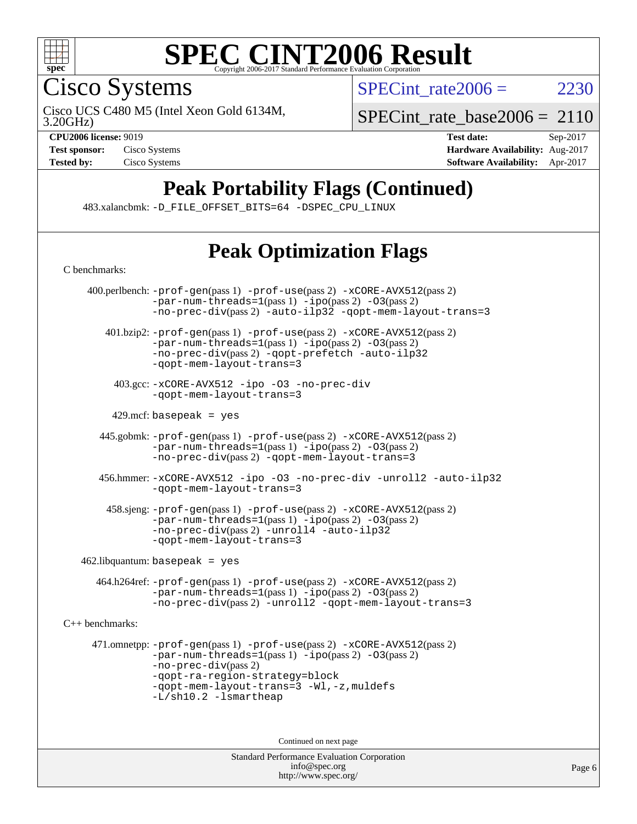

Cisco Systems

SPECint rate $2006 = 2230$ 

3.20GHz) Cisco UCS C480 M5 (Intel Xeon Gold 6134M,

[SPECint\\_rate\\_base2006 =](http://www.spec.org/auto/cpu2006/Docs/result-fields.html#SPECintratebase2006) 2110

**[CPU2006 license:](http://www.spec.org/auto/cpu2006/Docs/result-fields.html#CPU2006license)** 9019 **[Test date:](http://www.spec.org/auto/cpu2006/Docs/result-fields.html#Testdate)** Sep-2017 **[Test sponsor:](http://www.spec.org/auto/cpu2006/Docs/result-fields.html#Testsponsor)** Cisco Systems **[Hardware Availability:](http://www.spec.org/auto/cpu2006/Docs/result-fields.html#HardwareAvailability)** Aug-2017 **[Tested by:](http://www.spec.org/auto/cpu2006/Docs/result-fields.html#Testedby)** Cisco Systems **[Software Availability:](http://www.spec.org/auto/cpu2006/Docs/result-fields.html#SoftwareAvailability)** Apr-2017

## **[Peak Portability Flags \(Continued\)](http://www.spec.org/auto/cpu2006/Docs/result-fields.html#PeakPortabilityFlags)**

483.xalancbmk: [-D\\_FILE\\_OFFSET\\_BITS=64](http://www.spec.org/cpu2006/results/res2017q4/cpu2006-20170919-50154.flags.html#user_peakPORTABILITY483_xalancbmk_file_offset_bits_64_438cf9856305ebd76870a2c6dc2689ab) [-DSPEC\\_CPU\\_LINUX](http://www.spec.org/cpu2006/results/res2017q4/cpu2006-20170919-50154.flags.html#b483.xalancbmk_peakCXXPORTABILITY_DSPEC_CPU_LINUX)

## **[Peak Optimization Flags](http://www.spec.org/auto/cpu2006/Docs/result-fields.html#PeakOptimizationFlags)**

Standard Performance Evaluation Corporation [C benchmarks](http://www.spec.org/auto/cpu2006/Docs/result-fields.html#Cbenchmarks): 400.perlbench: [-prof-gen](http://www.spec.org/cpu2006/results/res2017q4/cpu2006-20170919-50154.flags.html#user_peakPASS1_CFLAGSPASS1_LDCFLAGS400_perlbench_prof_gen_e43856698f6ca7b7e442dfd80e94a8fc)(pass 1) [-prof-use](http://www.spec.org/cpu2006/results/res2017q4/cpu2006-20170919-50154.flags.html#user_peakPASS2_CFLAGSPASS2_LDCFLAGS400_perlbench_prof_use_bccf7792157ff70d64e32fe3e1250b55)(pass 2) [-xCORE-AVX512](http://www.spec.org/cpu2006/results/res2017q4/cpu2006-20170919-50154.flags.html#user_peakPASS2_CFLAGSPASS2_LDCFLAGS400_perlbench_f-xCORE-AVX512)(pass 2)  $-par-num-threads=1(pass 1) -ipo(pass 2) -O3(pass 2)$  $-par-num-threads=1(pass 1) -ipo(pass 2) -O3(pass 2)$  $-par-num-threads=1(pass 1) -ipo(pass 2) -O3(pass 2)$  $-par-num-threads=1(pass 1) -ipo(pass 2) -O3(pass 2)$  $-par-num-threads=1(pass 1) -ipo(pass 2) -O3(pass 2)$  $-par-num-threads=1(pass 1) -ipo(pass 2) -O3(pass 2)$ [-no-prec-div](http://www.spec.org/cpu2006/results/res2017q4/cpu2006-20170919-50154.flags.html#user_peakPASS2_CFLAGSPASS2_LDCFLAGS400_perlbench_f-no-prec-div)(pass 2) [-auto-ilp32](http://www.spec.org/cpu2006/results/res2017q4/cpu2006-20170919-50154.flags.html#user_peakCOPTIMIZE400_perlbench_f-auto-ilp32) [-qopt-mem-layout-trans=3](http://www.spec.org/cpu2006/results/res2017q4/cpu2006-20170919-50154.flags.html#user_peakCOPTIMIZE400_perlbench_f-qopt-mem-layout-trans_170f5be61cd2cedc9b54468c59262d5d) 401.bzip2: [-prof-gen](http://www.spec.org/cpu2006/results/res2017q4/cpu2006-20170919-50154.flags.html#user_peakPASS1_CFLAGSPASS1_LDCFLAGS401_bzip2_prof_gen_e43856698f6ca7b7e442dfd80e94a8fc)(pass 1) [-prof-use](http://www.spec.org/cpu2006/results/res2017q4/cpu2006-20170919-50154.flags.html#user_peakPASS2_CFLAGSPASS2_LDCFLAGS401_bzip2_prof_use_bccf7792157ff70d64e32fe3e1250b55)(pass 2) [-xCORE-AVX512](http://www.spec.org/cpu2006/results/res2017q4/cpu2006-20170919-50154.flags.html#user_peakPASS2_CFLAGSPASS2_LDCFLAGS401_bzip2_f-xCORE-AVX512)(pass 2) [-par-num-threads=1](http://www.spec.org/cpu2006/results/res2017q4/cpu2006-20170919-50154.flags.html#user_peakPASS1_CFLAGSPASS1_LDCFLAGS401_bzip2_par_num_threads_786a6ff141b4e9e90432e998842df6c2)(pass 1) [-ipo](http://www.spec.org/cpu2006/results/res2017q4/cpu2006-20170919-50154.flags.html#user_peakPASS2_CFLAGSPASS2_LDCFLAGS401_bzip2_f-ipo)(pass 2) [-O3](http://www.spec.org/cpu2006/results/res2017q4/cpu2006-20170919-50154.flags.html#user_peakPASS2_CFLAGSPASS2_LDCFLAGS401_bzip2_f-O3)(pass 2) [-no-prec-div](http://www.spec.org/cpu2006/results/res2017q4/cpu2006-20170919-50154.flags.html#user_peakPASS2_CFLAGSPASS2_LDCFLAGS401_bzip2_f-no-prec-div)(pass 2) [-qopt-prefetch](http://www.spec.org/cpu2006/results/res2017q4/cpu2006-20170919-50154.flags.html#user_peakCOPTIMIZE401_bzip2_f-qopt-prefetch) [-auto-ilp32](http://www.spec.org/cpu2006/results/res2017q4/cpu2006-20170919-50154.flags.html#user_peakCOPTIMIZE401_bzip2_f-auto-ilp32) [-qopt-mem-layout-trans=3](http://www.spec.org/cpu2006/results/res2017q4/cpu2006-20170919-50154.flags.html#user_peakCOPTIMIZE401_bzip2_f-qopt-mem-layout-trans_170f5be61cd2cedc9b54468c59262d5d) 403.gcc: [-xCORE-AVX512](http://www.spec.org/cpu2006/results/res2017q4/cpu2006-20170919-50154.flags.html#user_peakOPTIMIZE403_gcc_f-xCORE-AVX512) [-ipo](http://www.spec.org/cpu2006/results/res2017q4/cpu2006-20170919-50154.flags.html#user_peakOPTIMIZE403_gcc_f-ipo) [-O3](http://www.spec.org/cpu2006/results/res2017q4/cpu2006-20170919-50154.flags.html#user_peakOPTIMIZE403_gcc_f-O3) [-no-prec-div](http://www.spec.org/cpu2006/results/res2017q4/cpu2006-20170919-50154.flags.html#user_peakOPTIMIZE403_gcc_f-no-prec-div) [-qopt-mem-layout-trans=3](http://www.spec.org/cpu2006/results/res2017q4/cpu2006-20170919-50154.flags.html#user_peakCOPTIMIZE403_gcc_f-qopt-mem-layout-trans_170f5be61cd2cedc9b54468c59262d5d)  $429$ .mcf: basepeak = yes 445.gobmk: [-prof-gen](http://www.spec.org/cpu2006/results/res2017q4/cpu2006-20170919-50154.flags.html#user_peakPASS1_CFLAGSPASS1_LDCFLAGS445_gobmk_prof_gen_e43856698f6ca7b7e442dfd80e94a8fc)(pass 1) [-prof-use](http://www.spec.org/cpu2006/results/res2017q4/cpu2006-20170919-50154.flags.html#user_peakPASS2_CFLAGSPASS2_LDCFLAGSPASS2_LDFLAGS445_gobmk_prof_use_bccf7792157ff70d64e32fe3e1250b55)(pass 2) [-xCORE-AVX512](http://www.spec.org/cpu2006/results/res2017q4/cpu2006-20170919-50154.flags.html#user_peakPASS2_CFLAGSPASS2_LDCFLAGSPASS2_LDFLAGS445_gobmk_f-xCORE-AVX512)(pass 2)  $-par-num-threads=1(pass 1) -ipo(pass 2) -O3(pass 2)$  $-par-num-threads=1(pass 1) -ipo(pass 2) -O3(pass 2)$  $-par-num-threads=1(pass 1) -ipo(pass 2) -O3(pass 2)$  $-par-num-threads=1(pass 1) -ipo(pass 2) -O3(pass 2)$  $-par-num-threads=1(pass 1) -ipo(pass 2) -O3(pass 2)$  $-par-num-threads=1(pass 1) -ipo(pass 2) -O3(pass 2)$ [-no-prec-div](http://www.spec.org/cpu2006/results/res2017q4/cpu2006-20170919-50154.flags.html#user_peakPASS2_LDCFLAGS445_gobmk_f-no-prec-div)(pass 2) [-qopt-mem-layout-trans=3](http://www.spec.org/cpu2006/results/res2017q4/cpu2006-20170919-50154.flags.html#user_peakCOPTIMIZE445_gobmk_f-qopt-mem-layout-trans_170f5be61cd2cedc9b54468c59262d5d) 456.hmmer: [-xCORE-AVX512](http://www.spec.org/cpu2006/results/res2017q4/cpu2006-20170919-50154.flags.html#user_peakOPTIMIZE456_hmmer_f-xCORE-AVX512) [-ipo](http://www.spec.org/cpu2006/results/res2017q4/cpu2006-20170919-50154.flags.html#user_peakOPTIMIZE456_hmmer_f-ipo) [-O3](http://www.spec.org/cpu2006/results/res2017q4/cpu2006-20170919-50154.flags.html#user_peakOPTIMIZE456_hmmer_f-O3) [-no-prec-div](http://www.spec.org/cpu2006/results/res2017q4/cpu2006-20170919-50154.flags.html#user_peakOPTIMIZE456_hmmer_f-no-prec-div) [-unroll2](http://www.spec.org/cpu2006/results/res2017q4/cpu2006-20170919-50154.flags.html#user_peakCOPTIMIZE456_hmmer_f-unroll_784dae83bebfb236979b41d2422d7ec2) [-auto-ilp32](http://www.spec.org/cpu2006/results/res2017q4/cpu2006-20170919-50154.flags.html#user_peakCOPTIMIZE456_hmmer_f-auto-ilp32) [-qopt-mem-layout-trans=3](http://www.spec.org/cpu2006/results/res2017q4/cpu2006-20170919-50154.flags.html#user_peakCOPTIMIZE456_hmmer_f-qopt-mem-layout-trans_170f5be61cd2cedc9b54468c59262d5d) 458.sjeng: [-prof-gen](http://www.spec.org/cpu2006/results/res2017q4/cpu2006-20170919-50154.flags.html#user_peakPASS1_CFLAGSPASS1_LDCFLAGS458_sjeng_prof_gen_e43856698f6ca7b7e442dfd80e94a8fc)(pass 1) [-prof-use](http://www.spec.org/cpu2006/results/res2017q4/cpu2006-20170919-50154.flags.html#user_peakPASS2_CFLAGSPASS2_LDCFLAGS458_sjeng_prof_use_bccf7792157ff70d64e32fe3e1250b55)(pass 2) [-xCORE-AVX512](http://www.spec.org/cpu2006/results/res2017q4/cpu2006-20170919-50154.flags.html#user_peakPASS2_CFLAGSPASS2_LDCFLAGS458_sjeng_f-xCORE-AVX512)(pass 2) [-par-num-threads=1](http://www.spec.org/cpu2006/results/res2017q4/cpu2006-20170919-50154.flags.html#user_peakPASS1_CFLAGSPASS1_LDCFLAGS458_sjeng_par_num_threads_786a6ff141b4e9e90432e998842df6c2)(pass 1) [-ipo](http://www.spec.org/cpu2006/results/res2017q4/cpu2006-20170919-50154.flags.html#user_peakPASS2_CFLAGSPASS2_LDCFLAGS458_sjeng_f-ipo)(pass 2) [-O3](http://www.spec.org/cpu2006/results/res2017q4/cpu2006-20170919-50154.flags.html#user_peakPASS2_CFLAGSPASS2_LDCFLAGS458_sjeng_f-O3)(pass 2) [-no-prec-div](http://www.spec.org/cpu2006/results/res2017q4/cpu2006-20170919-50154.flags.html#user_peakPASS2_CFLAGSPASS2_LDCFLAGS458_sjeng_f-no-prec-div)(pass 2) [-unroll4](http://www.spec.org/cpu2006/results/res2017q4/cpu2006-20170919-50154.flags.html#user_peakCOPTIMIZE458_sjeng_f-unroll_4e5e4ed65b7fd20bdcd365bec371b81f) [-auto-ilp32](http://www.spec.org/cpu2006/results/res2017q4/cpu2006-20170919-50154.flags.html#user_peakCOPTIMIZE458_sjeng_f-auto-ilp32) [-qopt-mem-layout-trans=3](http://www.spec.org/cpu2006/results/res2017q4/cpu2006-20170919-50154.flags.html#user_peakCOPTIMIZE458_sjeng_f-qopt-mem-layout-trans_170f5be61cd2cedc9b54468c59262d5d)  $462$ .libquantum: basepeak = yes 464.h264ref: [-prof-gen](http://www.spec.org/cpu2006/results/res2017q4/cpu2006-20170919-50154.flags.html#user_peakPASS1_CFLAGSPASS1_LDCFLAGS464_h264ref_prof_gen_e43856698f6ca7b7e442dfd80e94a8fc)(pass 1) [-prof-use](http://www.spec.org/cpu2006/results/res2017q4/cpu2006-20170919-50154.flags.html#user_peakPASS2_CFLAGSPASS2_LDCFLAGS464_h264ref_prof_use_bccf7792157ff70d64e32fe3e1250b55)(pass 2) [-xCORE-AVX512](http://www.spec.org/cpu2006/results/res2017q4/cpu2006-20170919-50154.flags.html#user_peakPASS2_CFLAGSPASS2_LDCFLAGS464_h264ref_f-xCORE-AVX512)(pass 2) [-par-num-threads=1](http://www.spec.org/cpu2006/results/res2017q4/cpu2006-20170919-50154.flags.html#user_peakPASS1_CFLAGSPASS1_LDCFLAGS464_h264ref_par_num_threads_786a6ff141b4e9e90432e998842df6c2)(pass 1) [-ipo](http://www.spec.org/cpu2006/results/res2017q4/cpu2006-20170919-50154.flags.html#user_peakPASS2_CFLAGSPASS2_LDCFLAGS464_h264ref_f-ipo)(pass 2) [-O3](http://www.spec.org/cpu2006/results/res2017q4/cpu2006-20170919-50154.flags.html#user_peakPASS2_CFLAGSPASS2_LDCFLAGS464_h264ref_f-O3)(pass 2) [-no-prec-div](http://www.spec.org/cpu2006/results/res2017q4/cpu2006-20170919-50154.flags.html#user_peakPASS2_CFLAGSPASS2_LDCFLAGS464_h264ref_f-no-prec-div)(pass 2) [-unroll2](http://www.spec.org/cpu2006/results/res2017q4/cpu2006-20170919-50154.flags.html#user_peakCOPTIMIZE464_h264ref_f-unroll_784dae83bebfb236979b41d2422d7ec2) [-qopt-mem-layout-trans=3](http://www.spec.org/cpu2006/results/res2017q4/cpu2006-20170919-50154.flags.html#user_peakCOPTIMIZE464_h264ref_f-qopt-mem-layout-trans_170f5be61cd2cedc9b54468c59262d5d) [C++ benchmarks:](http://www.spec.org/auto/cpu2006/Docs/result-fields.html#CXXbenchmarks) 471.omnetpp: [-prof-gen](http://www.spec.org/cpu2006/results/res2017q4/cpu2006-20170919-50154.flags.html#user_peakPASS1_CXXFLAGSPASS1_LDCXXFLAGS471_omnetpp_prof_gen_e43856698f6ca7b7e442dfd80e94a8fc)(pass 1) [-prof-use](http://www.spec.org/cpu2006/results/res2017q4/cpu2006-20170919-50154.flags.html#user_peakPASS2_CXXFLAGSPASS2_LDCXXFLAGS471_omnetpp_prof_use_bccf7792157ff70d64e32fe3e1250b55)(pass 2) [-xCORE-AVX512](http://www.spec.org/cpu2006/results/res2017q4/cpu2006-20170919-50154.flags.html#user_peakPASS2_CXXFLAGSPASS2_LDCXXFLAGS471_omnetpp_f-xCORE-AVX512)(pass 2) [-par-num-threads=1](http://www.spec.org/cpu2006/results/res2017q4/cpu2006-20170919-50154.flags.html#user_peakPASS1_CXXFLAGSPASS1_LDCXXFLAGS471_omnetpp_par_num_threads_786a6ff141b4e9e90432e998842df6c2)(pass 1) [-ipo](http://www.spec.org/cpu2006/results/res2017q4/cpu2006-20170919-50154.flags.html#user_peakPASS2_CXXFLAGSPASS2_LDCXXFLAGS471_omnetpp_f-ipo)(pass 2) [-O3](http://www.spec.org/cpu2006/results/res2017q4/cpu2006-20170919-50154.flags.html#user_peakPASS2_CXXFLAGSPASS2_LDCXXFLAGS471_omnetpp_f-O3)(pass 2) [-no-prec-div](http://www.spec.org/cpu2006/results/res2017q4/cpu2006-20170919-50154.flags.html#user_peakPASS2_CXXFLAGSPASS2_LDCXXFLAGS471_omnetpp_f-no-prec-div)(pass 2) [-qopt-ra-region-strategy=block](http://www.spec.org/cpu2006/results/res2017q4/cpu2006-20170919-50154.flags.html#user_peakCXXOPTIMIZE471_omnetpp_f-qopt-ra-region-strategy_430aa8f7c220cbde92ae827fa8d9be32)  [-qopt-mem-layout-trans=3](http://www.spec.org/cpu2006/results/res2017q4/cpu2006-20170919-50154.flags.html#user_peakCXXOPTIMIZE471_omnetpp_f-qopt-mem-layout-trans_170f5be61cd2cedc9b54468c59262d5d) [-Wl,-z,muldefs](http://www.spec.org/cpu2006/results/res2017q4/cpu2006-20170919-50154.flags.html#user_peakEXTRA_LDFLAGS471_omnetpp_link_force_multiple1_74079c344b956b9658436fd1b6dd3a8a) [-L/sh10.2 -lsmartheap](http://www.spec.org/cpu2006/results/res2017q4/cpu2006-20170919-50154.flags.html#user_peakEXTRA_LIBS471_omnetpp_SmartHeap_b831f2d313e2fffa6dfe3f00ffc1f1c0) Continued on next page

> [info@spec.org](mailto:info@spec.org) <http://www.spec.org/>